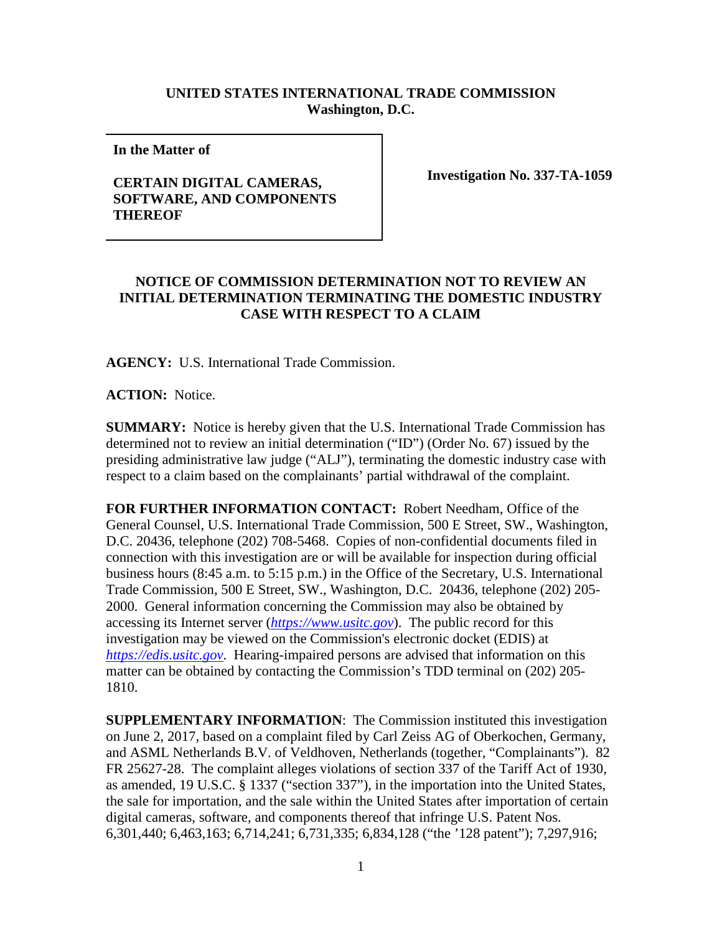## **UNITED STATES INTERNATIONAL TRADE COMMISSION Washington, D.C.**

**In the Matter of** 

## **CERTAIN DIGITAL CAMERAS, SOFTWARE, AND COMPONENTS THEREOF**

**Investigation No. 337-TA-1059**

## **NOTICE OF COMMISSION DETERMINATION NOT TO REVIEW AN INITIAL DETERMINATION TERMINATING THE DOMESTIC INDUSTRY CASE WITH RESPECT TO A CLAIM**

**AGENCY:** U.S. International Trade Commission.

**ACTION:** Notice.

**SUMMARY:** Notice is hereby given that the U.S. International Trade Commission has determined not to review an initial determination ("ID") (Order No. 67) issued by the presiding administrative law judge ("ALJ"), terminating the domestic industry case with respect to a claim based on the complainants' partial withdrawal of the complaint.

**FOR FURTHER INFORMATION CONTACT:** Robert Needham, Office of the General Counsel, U.S. International Trade Commission, 500 E Street, SW., Washington, D.C. 20436, telephone (202) 708-5468. Copies of non-confidential documents filed in connection with this investigation are or will be available for inspection during official business hours (8:45 a.m. to 5:15 p.m.) in the Office of the Secretary, U.S. International Trade Commission, 500 E Street, SW., Washington, D.C. 20436, telephone (202) 205- 2000. General information concerning the Commission may also be obtained by accessing its Internet server (*[https://www.usitc.gov](https://www.usitc.gov/)*). The public record for this investigation may be viewed on the Commission's electronic docket (EDIS) at *[https://edis.usitc.gov](https://edis.usitc.gov/)*. Hearing-impaired persons are advised that information on this matter can be obtained by contacting the Commission's TDD terminal on (202) 205- 1810.

**SUPPLEMENTARY INFORMATION**: The Commission instituted this investigation on June 2, 2017, based on a complaint filed by Carl Zeiss AG of Oberkochen, Germany, and ASML Netherlands B.V. of Veldhoven, Netherlands (together, "Complainants"). 82 FR 25627-28. The complaint alleges violations of section 337 of the Tariff Act of 1930, as amended, 19 U.S.C. § 1337 ("section 337"), in the importation into the United States, the sale for importation, and the sale within the United States after importation of certain digital cameras, software, and components thereof that infringe U.S. Patent Nos. 6,301,440; 6,463,163; 6,714,241; 6,731,335; 6,834,128 ("the '128 patent"); 7,297,916;